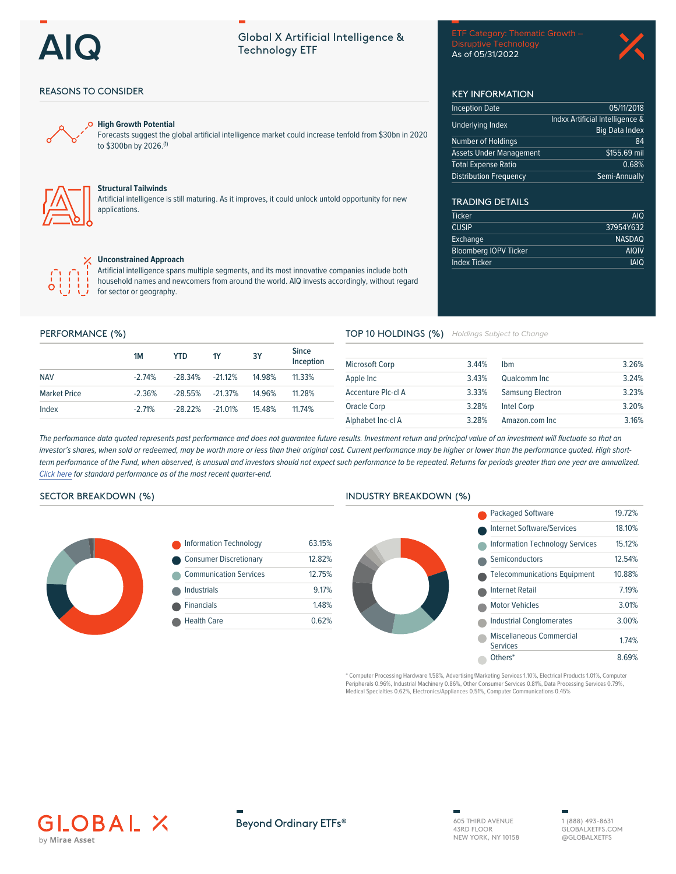**REASONS TO CONSIDER** 

 $\Omega$ 

**High Growth Potential** 

to \$300bn by 2026.(1)

**Structural Tailwinds** 

 $\times$  Unconstrained Approach

for sector or geography.

 $1M$ 

 $-2.74%$ 

 $-2.36%$ 

 $-271%$ 

**YTD** 

 $-28.34%$ 

 $-28.55%$ 

 $-2822%$ 

 $1Y$ 

 $-21.12%$ 

 $-21.37%$ 

 $-21.01%$ 

applications.

# Global X Artificial Intelligence & **Technology ETF**

Forecasts suggest the global artificial intelligence market could increase tenfold from \$30bn in 2020

Artificial intelligence is still maturing. As it improves, it could unlock untold opportunity for new

Artificial intelligence spans multiple segments, and its most innovative companies include both household names and newcomers from around the world. AIQ invests accordingly, without regard

 $3Y$ 

14.98%

14.96%

15 4 8%

**Disruptive Technology** As of 05/31/2022



# **KEY INFORMATION**

| <b>Inception Date</b>          | 05/11/2018                      |
|--------------------------------|---------------------------------|
| Underlying Index               | Indxx Artificial Intelligence & |
|                                | <b>Big Data Index</b>           |
| <b>Number of Holdings</b>      | 84                              |
| <b>Assets Under Management</b> | \$155.69 mil                    |
| <b>Total Expense Ratio</b>     | 0.68%                           |
| Distribution Frequency         | Semi-Annually                   |

# **TRADING DETAILS**

| <b>AIQ</b>    |
|---------------|
| 37954Y632     |
| <b>NASDAQ</b> |
| <b>AIQIV</b>  |
| <b>IAIQ</b>   |
|               |

TOP 10 HOLDINGS (%) Holdings Subject to Change

| <b>Microsoft Corp</b> | 3.44% | <b>Ibm</b>              | 3.26% |
|-----------------------|-------|-------------------------|-------|
| Apple Inc             | 3.43% | Qualcomm Inc            | 3.24% |
| Accenture Plc-cl A    | 3.33% | <b>Samsung Electron</b> | 3.23% |
| Oracle Corp           | 3.28% | <b>Intel Corp</b>       | 3.20% |
| Alphabet Inc-cl A     | 3.28% | Amazon.com Inc          | 3.16% |

The performance data quoted represents past performance and does not guarantee future results. Investment return and principal value of an investment will fluctuate so that an investor's shares, when sold or redeemed, may be worth more or less than their original cost. Current performance may be higher or lower than the performance quoted. High shortterm performance of the Fund, when observed, is unusual and investors should not expect such performance to be repeated. Returns for periods greater than one year are annualized. Click here for standard performance as of the most recent quarter-end.

**Since** 

11.33%

11.28%

11 74%

Inception

## **SECTOR BREAKDOWN (%)**

PERFORMANCE (%)

**NAV** 

Index

**Market Price** 



| <b>Information Technology</b> | 63.15% |
|-------------------------------|--------|
| <b>Consumer Discretionary</b> | 12.82% |
| <b>Communication Services</b> | 12 75% |
| Industrials                   | 9.17%  |
| <b>Financials</b>             | 1.48%  |
| <b>Health Care</b>            | 0.62%  |
|                               |        |

### **INDUSTRY BREAKDOWN (%)**



Computer Processing Hardware 1.58%, Advertising/Marketing Services 1.10%, Electrical Products 1.01%, Computer Peripherals 0.96%, Industrial Machinery 0.86%, Other Consumer Services 0.81%, Data Processing Services 0.79%, Medical Specialties 0.62%, Electronics/Appliances 0.51%, Computer Communications 0.45%





605 THIRD AVENUE 43RD FLOOR NEW YORK, NY 10158

1 (888) 493-8631 GLOBAL XETES COM @GLOBALXETFS